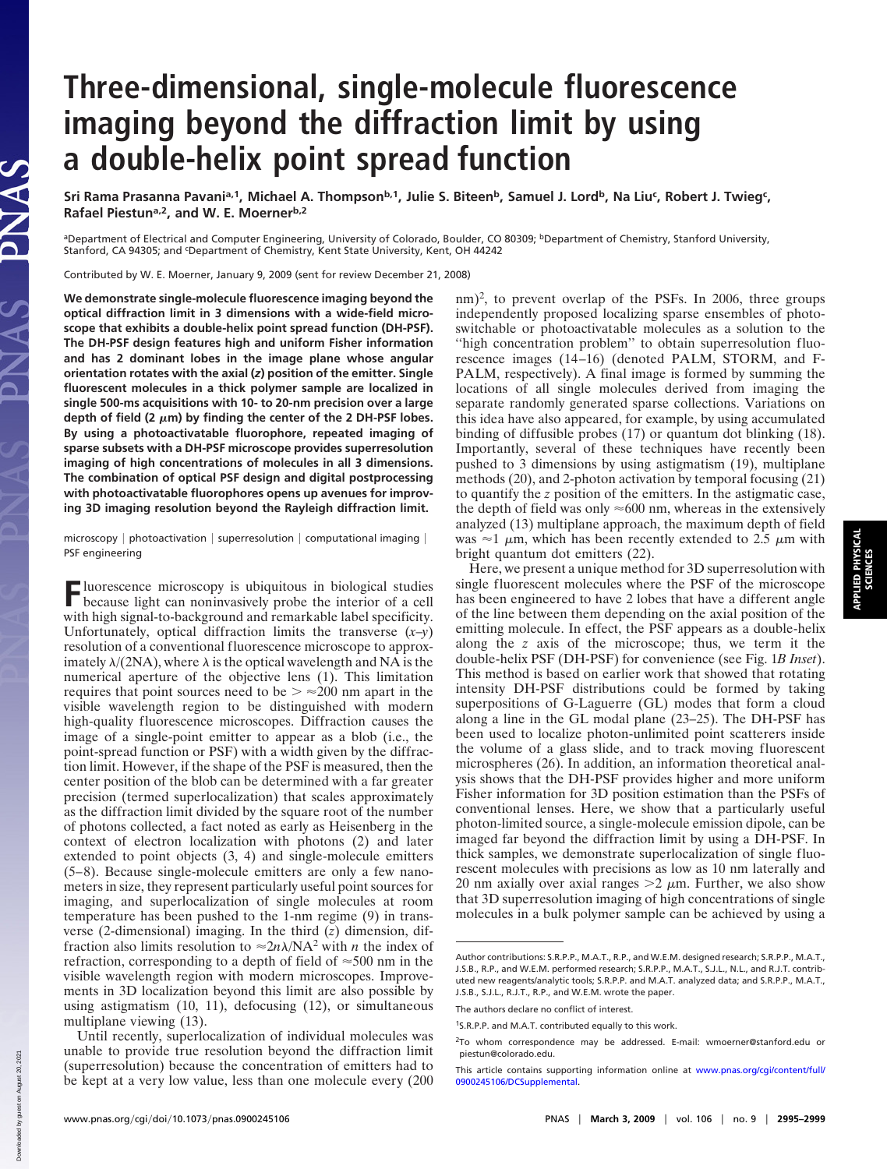# **Three-dimensional, single-molecule fluorescence imaging beyond the diffraction limit by using a double-helix point spread function**

Sri Rama Prasanna Pavani<sup>a, 1</sup>, Michael A. Thompson<sup>b, 1</sup>, Julie S. Biteen<sup>b</sup>, Samuel J. Lord<sup>b</sup>, Na Liu<sup>c</sup>, Robert J. Twieg<sup>c</sup>, Rafael Piestun<sup>a,2</sup>, and W. E. Moerner<sup>b,2</sup>

<sup>a</sup>Department of Electrical and Computer Engineering, University of Colorado, Boulder, CO 80309; <sup>b</sup>Department of Chemistry, Stanford University, Stanford, CA 94305; and <sup>c</sup>Department of Chemistry, Kent State University, Kent, OH 44242

Contributed by W. E. Moerner, January 9, 2009 (sent for review December 21, 2008)

**We demonstrate single-molecule fluorescence imaging beyond the optical diffraction limit in 3 dimensions with a wide-field microscope that exhibits a double-helix point spread function (DH-PSF). The DH-PSF design features high and uniform Fisher information and has 2 dominant lobes in the image plane whose angular orientation rotates with the axial (***z***) position of the emitter. Single fluorescent molecules in a thick polymer sample are localized in single 500-ms acquisitions with 10- to 20-nm precision over a large** depth of field (2  $\mu$ m) by finding the center of the 2 DH-PSF lobes. **By using a photoactivatable fluorophore, repeated imaging of sparse subsets with a DH-PSF microscope provides superresolution imaging of high concentrations of molecules in all 3 dimensions. The combination of optical PSF design and digital postprocessing with photoactivatable fluorophores opens up avenues for improving 3D imaging resolution beyond the Rayleigh diffraction limit.**

microscopy | photoactivation | superresolution | computational imaging | PSF engineering

**F**luorescence microscopy is ubiquitous in biological studies<br>because light can noningated because light can noninvasively probe the interior of a cell with high signal-to-background and remarkable label specificity. Unfortunately, optical diffraction limits the transverse  $(x-y)$ resolution of a conventional fluorescence microscope to approximately  $\lambda/(2NA)$ , where  $\lambda$  is the optical wavelength and NA is the numerical aperture of the objective lens (1). This limitation requires that point sources need to be  $\geq \approx 200$  nm apart in the visible wavelength region to be distinguished with modern high-quality fluorescence microscopes. Diffraction causes the image of a single-point emitter to appear as a blob (i.e., the point-spread function or PSF) with a width given by the diffraction limit. However, if the shape of the PSF is measured, then the center position of the blob can be determined with a far greater precision (termed superlocalization) that scales approximately as the diffraction limit divided by the square root of the number of photons collected, a fact noted as early as Heisenberg in the context of electron localization with photons (2) and later extended to point objects (3, 4) and single-molecule emitters (5–8). Because single-molecule emitters are only a few nanometers in size, they represent particularly useful point sources for imaging, and superlocalization of single molecules at room temperature has been pushed to the 1-nm regime (9) in transverse (2-dimensional) imaging. In the third (*z*) dimension, diffraction also limits resolution to  $\approx 2n\lambda/NA^2$  with *n* the index of refraction, corresponding to a depth of field of  $\approx$  500 nm in the visible wavelength region with modern microscopes. Improvements in 3D localization beyond this limit are also possible by using astigmatism (10, 11), defocusing (12), or simultaneous multiplane viewing (13).

Until recently, superlocalization of individual molecules was unable to provide true resolution beyond the diffraction limit (superresolution) because the concentration of emitters had to be kept at a very low value, less than one molecule every (200

 $nm$ <sup>2</sup>, to prevent overlap of the PSFs. In 2006, three groups independently proposed localizing sparse ensembles of photoswitchable or photoactivatable molecules as a solution to the "high concentration problem" to obtain superresolution fluorescence images (14–16) (denoted PALM, STORM, and F-PALM, respectively). A final image is formed by summing the locations of all single molecules derived from imaging the separate randomly generated sparse collections. Variations on this idea have also appeared, for example, by using accumulated binding of diffusible probes (17) or quantum dot blinking (18). Importantly, several of these techniques have recently been pushed to 3 dimensions by using astigmatism (19), multiplane methods (20), and 2-photon activation by temporal focusing (21) to quantify the *z* position of the emitters. In the astigmatic case, the depth of field was only  $\approx 600$  nm, whereas in the extensively analyzed (13) multiplane approach, the maximum depth of field was  $\approx$ 1  $\mu$ m, which has been recently extended to 2.5  $\mu$ m with bright quantum dot emitters (22).

Here, we present a unique method for 3D superresolution with single fluorescent molecules where the PSF of the microscope has been engineered to have 2 lobes that have a different angle of the line between them depending on the axial position of the emitting molecule. In effect, the PSF appears as a double-helix along the *z* axis of the microscope; thus, we term it the double-helix PSF (DH-PSF) for convenience (see Fig. 1*B Inset*). This method is based on earlier work that showed that rotating intensity DH-PSF distributions could be formed by taking superpositions of G-Laguerre (GL) modes that form a cloud along a line in the GL modal plane (23–25). The DH-PSF has been used to localize photon-unlimited point scatterers inside the volume of a glass slide, and to track moving fluorescent microspheres (26). In addition, an information theoretical analysis shows that the DH-PSF provides higher and more uniform Fisher information for 3D position estimation than the PSFs of conventional lenses. Here, we show that a particularly useful photon-limited source, a single-molecule emission dipole, can be imaged far beyond the diffraction limit by using a DH-PSF. In thick samples, we demonstrate superlocalization of single fluorescent molecules with precisions as low as 10 nm laterally and 20 nm axially over axial ranges  $>$  2  $\mu$ m. Further, we also show that 3D superresolution imaging of high concentrations of single molecules in a bulk polymer sample can be achieved by using a

Downloaded by guest on August 20, 2021

by guest on August 20,

VAS

Author contributions: S.R.P.P., M.A.T., R.P., and W.E.M. designed research; S.R.P.P., M.A.T., J.S.B., R.P., and W.E.M. performed research; S.R.P.P., M.A.T., S.J.L., N.L., and R.J.T. contributed new reagents/analytic tools; S.R.P.P. and M.A.T. analyzed data; and S.R.P.P., M.A.T., J.S.B., S.J.L., R.J.T., R.P., and W.E.M. wrote the paper.

The authors declare no conflict of interest.

<sup>1</sup>S.R.P.P. and M.A.T. contributed equally to this work.

<sup>2</sup>To whom correspondence may be addressed. E-mail: wmoerner@stanford.edu or piestun@colorado.edu.

This article contains supporting information online at [www.pnas.org/cgi/content/full/](http://www.pnas.org/cgi/content/full/0900245106/DCSupplemental) [0900245106/DCSupplemental.](http://www.pnas.org/cgi/content/full/0900245106/DCSupplemental)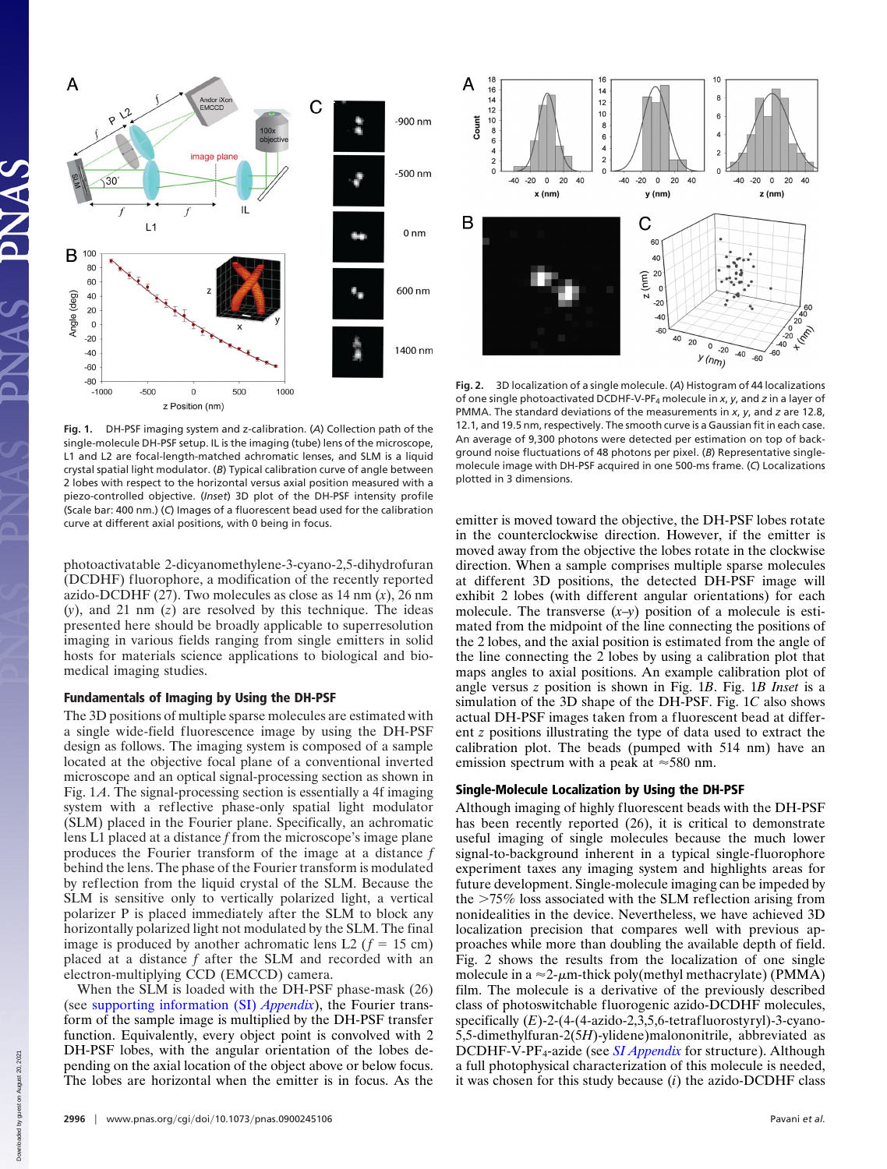

**Fig. 1.** DH-PSF imaging system and z-calibration. (*A*) Collection path of the single-molecule DH-PSF setup. IL is the imaging (tube) lens of the microscope, L1 and L2 are focal-length-matched achromatic lenses, and SLM is a liquid crystal spatial light modulator. (*B*) Typical calibration curve of angle between 2 lobes with respect to the horizontal versus axial position measured with a piezo-controlled objective. (*Inset*) 3D plot of the DH-PSF intensity profile (Scale bar: 400 nm.) (*C*) Images of a fluorescent bead used for the calibration curve at different axial positions, with 0 being in focus.

photoactivatable 2-dicyanomethylene-3-cyano-2,5-dihydrofuran (DCDHF) fluorophore, a modification of the recently reported azido-DCDHF (27). Two molecules as close as 14 nm (*x*), 26 nm (*y*), and 21 nm (*z*) are resolved by this technique. The ideas presented here should be broadly applicable to superresolution imaging in various fields ranging from single emitters in solid hosts for materials science applications to biological and biomedical imaging studies.

## **Fundamentals of Imaging by Using the DH-PSF**

The 3D positions of multiple sparse molecules are estimated with a single wide-field fluorescence image by using the DH-PSF design as follows. The imaging system is composed of a sample located at the objective focal plane of a conventional inverted microscope and an optical signal-processing section as shown in Fig. 1*A*. The signal-processing section is essentially a 4f imaging system with a reflective phase-only spatial light modulator (SLM) placed in the Fourier plane. Specifically, an achromatic lens L1 placed at a distance *f* from the microscope's image plane produces the Fourier transform of the image at a distance *f* behind the lens. The phase of the Fourier transform is modulated by reflection from the liquid crystal of the SLM. Because the SLM is sensitive only to vertically polarized light, a vertical polarizer P is placed immediately after the SLM to block any horizontally polarized light not modulated by the SLM. The final image is produced by another achromatic lens L2 ( $f = 15$  cm) placed at a distance *f* after the SLM and recorded with an electron-multiplying CCD (EMCCD) camera.

When the SLM is loaded with the DH-PSF phase-mask (26) (see [supporting information \(SI\)](http://www.pnas.org/cgi/data/0900245106/DCSupplemental/Appendix_PDF) *Appendix*), the Fourier transform of the sample image is multiplied by the DH-PSF transfer function. Equivalently, every object point is convolved with 2 DH-PSF lobes, with the angular orientation of the lobes depending on the axial location of the object above or below focus. The lobes are horizontal when the emitter is in focus. As the



**Fig. 2.** 3D localization of a single molecule. (*A*) Histogram of 44 localizations of one single photoactivated DCDHF-V-PF4 molecule in *x*, *y*, and *z* in a layer of PMMA. The standard deviations of the measurements in *x*, *y*, and *z* are 12.8, 12.1, and 19.5 nm, respectively. The smooth curve is a Gaussian fit in each case. An average of 9,300 photons were detected per estimation on top of background noise fluctuations of 48 photons per pixel. (*B*) Representative singlemolecule image with DH-PSF acquired in one 500-ms frame. (*C*) Localizations plotted in 3 dimensions.

emitter is moved toward the objective, the DH-PSF lobes rotate in the counterclockwise direction. However, if the emitter is moved away from the objective the lobes rotate in the clockwise direction. When a sample comprises multiple sparse molecules at different 3D positions, the detected DH-PSF image will exhibit 2 lobes (with different angular orientations) for each molecule. The transverse  $(x-y)$  position of a molecule is estimated from the midpoint of the line connecting the positions of the 2 lobes, and the axial position is estimated from the angle of the line connecting the 2 lobes by using a calibration plot that maps angles to axial positions. An example calibration plot of angle versus *z* position is shown in Fig. 1*B*. Fig. 1*B Inset* is a simulation of the 3D shape of the DH-PSF. Fig. 1*C* also shows actual DH-PSF images taken from a fluorescent bead at different *z* positions illustrating the type of data used to extract the calibration plot. The beads (pumped with 514 nm) have an emission spectrum with a peak at  $\approx$  580 nm.

### **Single-Molecule Localization by Using the DH-PSF**

Although imaging of highly fluorescent beads with the DH-PSF has been recently reported (26), it is critical to demonstrate useful imaging of single molecules because the much lower signal-to-background inherent in a typical single-fluorophore experiment taxes any imaging system and highlights areas for future development. Single-molecule imaging can be impeded by the  $>75\%$  loss associated with the SLM reflection arising from nonidealities in the device. Nevertheless, we have achieved 3D localization precision that compares well with previous approaches while more than doubling the available depth of field. Fig. 2 shows the results from the localization of one single molecule in a  $\approx$  2- $\mu$ m-thick poly(methyl methacrylate) (PMMA) film. The molecule is a derivative of the previously described class of photoswitchable fluorogenic azido-DCDHF molecules, specifically (*E*)-2-(4-(4-azido-2,3,5,6-tetrafluorostyryl)-3-cyano-5,5-dimethylfuran-2(5*H*)-ylidene)malononitrile, abbreviated as DCDHF-V-PF<sub>4</sub>-azide (see *[SI Appendix](http://www.pnas.org/cgi/data/0900245106/DCSupplemental/Appendix_PDF)* for structure). Although a full photophysical characterization of this molecule is needed, it was chosen for this study because (*i*) the azido-DCDHF class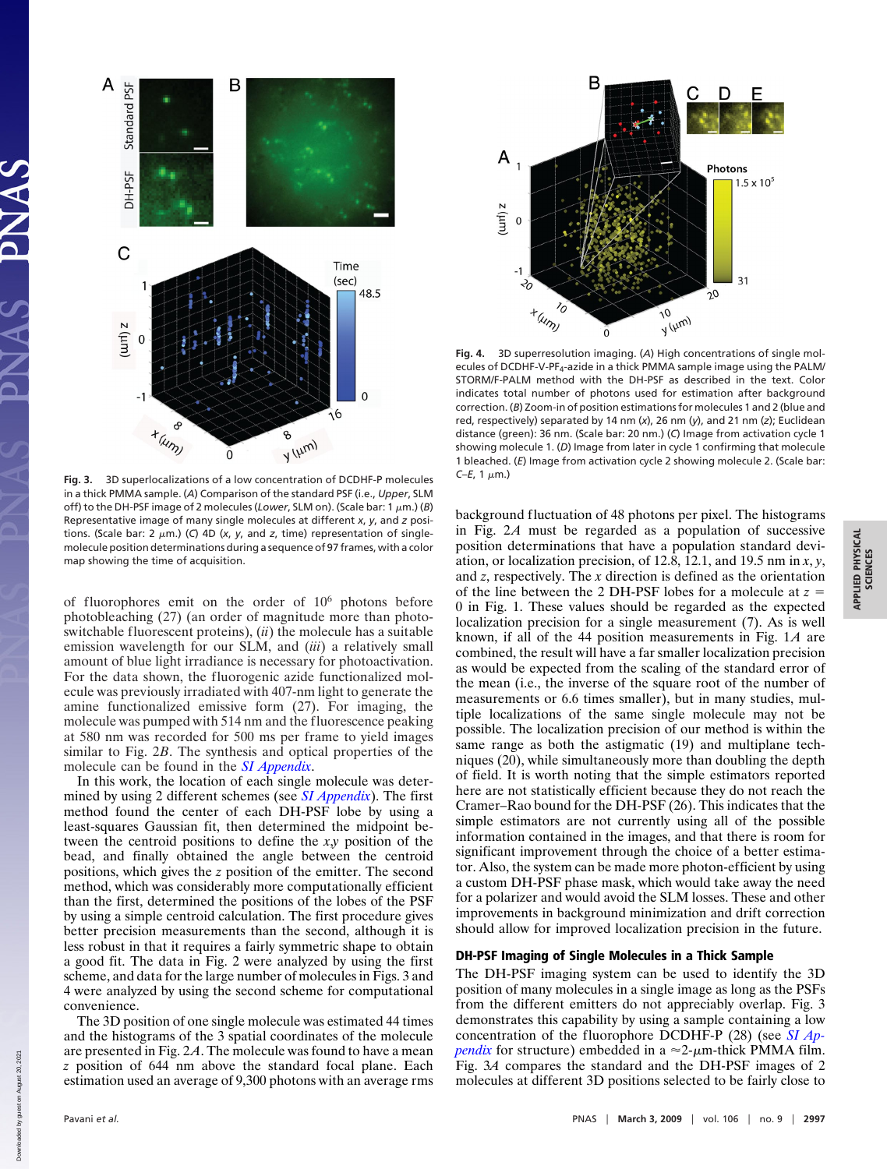

**Fig. 3.** 3D superlocalizations of a low concentration of DCDHF-P molecules in a thick PMMA sample. (*A*) Comparison of the standard PSF (i.e., *Upper*, SLM off) to the DH-PSF image of 2 molecules (*Lower*, SLM on). (Scale bar: 1 μm.) (*B*) Representative image of many single molecules at different *x*, *y*, and *z* positions. (Scale bar: 2  $\mu$ m.) (C) 4D (x, y, and z, time) representation of singlemolecule position determinations during a sequence of 97 frames, with a color map showing the time of acquisition.

of fluorophores emit on the order of 10<sup>6</sup> photons before photobleaching (27) (an order of magnitude more than photoswitchable fluorescent proteins), (*ii*) the molecule has a suitable emission wavelength for our SLM, and (*iii*) a relatively small amount of blue light irradiance is necessary for photoactivation. For the data shown, the fluorogenic azide functionalized molecule was previously irradiated with 407-nm light to generate the amine functionalized emissive form (27). For imaging, the molecule was pumped with 514 nm and the fluorescence peaking at 580 nm was recorded for 500 ms per frame to yield images similar to Fig. 2*B*. The synthesis and optical properties of the molecule can be found in the *[SI Appendix](http://www.pnas.org/cgi/data/0900245106/DCSupplemental/Appendix_PDF)*.

In this work, the location of each single molecule was determined by using 2 different schemes (see *[SI Appendix](http://www.pnas.org/cgi/data/0900245106/DCSupplemental/Appendix_PDF)*). The first method found the center of each DH-PSF lobe by using a least-squares Gaussian fit, then determined the midpoint between the centroid positions to define the *x*,*y* position of the bead, and finally obtained the angle between the centroid positions, which gives the *z* position of the emitter. The second method, which was considerably more computationally efficient than the first, determined the positions of the lobes of the PSF by using a simple centroid calculation. The first procedure gives better precision measurements than the second, although it is less robust in that it requires a fairly symmetric shape to obtain a good fit. The data in Fig. 2 were analyzed by using the first scheme, and data for the large number of molecules in Figs. 3 and 4 were analyzed by using the second scheme for computational convenience.

The 3D position of one single molecule was estimated 44 times and the histograms of the 3 spatial coordinates of the molecule are presented in Fig. 2*A*. The molecule was found to have a mean *z* position of 644 nm above the standard focal plane. Each estimation used an average of 9,300 photons with an average rms



**Fig. 4.** 3D superresolution imaging. (*A*) High concentrations of single molecules of DCDHF-V-PF4-azide in a thick PMMA sample image using the PALM/ STORM/F-PALM method with the DH-PSF as described in the text. Color indicates total number of photons used for estimation after background correction. (*B*) Zoom-in of position estimations for molecules 1 and 2 (blue and red, respectively) separated by 14 nm (*x*), 26 nm (*y*), and 21 nm (*z*); Euclidean distance (green): 36 nm. (Scale bar: 20 nm.) (*C*) Image from activation cycle 1 showing molecule 1. (*D*) Image from later in cycle 1 confirming that molecule 1 bleached. (*E*) Image from activation cycle 2 showing molecule 2. (Scale bar: *C–E*, 1 μm.)

background fluctuation of 48 photons per pixel. The histograms in Fig. 2*A* must be regarded as a population of successive position determinations that have a population standard deviation, or localization precision, of 12.8, 12.1, and 19.5 nm in *x*, *y*, and *z*, respectively. The *x* direction is defined as the orientation of the line between the 2 DH-PSF lobes for a molecule at *z* 0 in Fig. 1. These values should be regarded as the expected localization precision for a single measurement (7). As is well known, if all of the 44 position measurements in Fig. 1*A* are combined, the result will have a far smaller localization precision as would be expected from the scaling of the standard error of the mean (i.e., the inverse of the square root of the number of measurements or 6.6 times smaller), but in many studies, multiple localizations of the same single molecule may not be possible. The localization precision of our method is within the same range as both the astigmatic (19) and multiplane techniques (20), while simultaneously more than doubling the depth of field. It is worth noting that the simple estimators reported here are not statistically efficient because they do not reach the Cramer–Rao bound for the DH-PSF (26). This indicates that the simple estimators are not currently using all of the possible information contained in the images, and that there is room for significant improvement through the choice of a better estimator. Also, the system can be made more photon-efficient by using a custom DH-PSF phase mask, which would take away the need for a polarizer and would avoid the SLM losses. These and other improvements in background minimization and drift correction should allow for improved localization precision in the future.

#### **DH-PSF Imaging of Single Molecules in a Thick Sample**

The DH-PSF imaging system can be used to identify the 3D position of many molecules in a single image as long as the PSFs from the different emitters do not appreciably overlap. Fig. 3 demonstrates this capability by using a sample containing a low concentration of the fluorophore DCDHF-P (28) (see *[SI Ap](http://www.pnas.org/cgi/data/0900245106/DCSupplemental/Appendix_PDF)* $pendix$  for structure) embedded in a  $\approx$ 2- $\mu$ m-thick PMMA film. Fig. 3*A* compares the standard and the DH-PSF images of 2 molecules at different 3D positions selected to be fairly close to

Down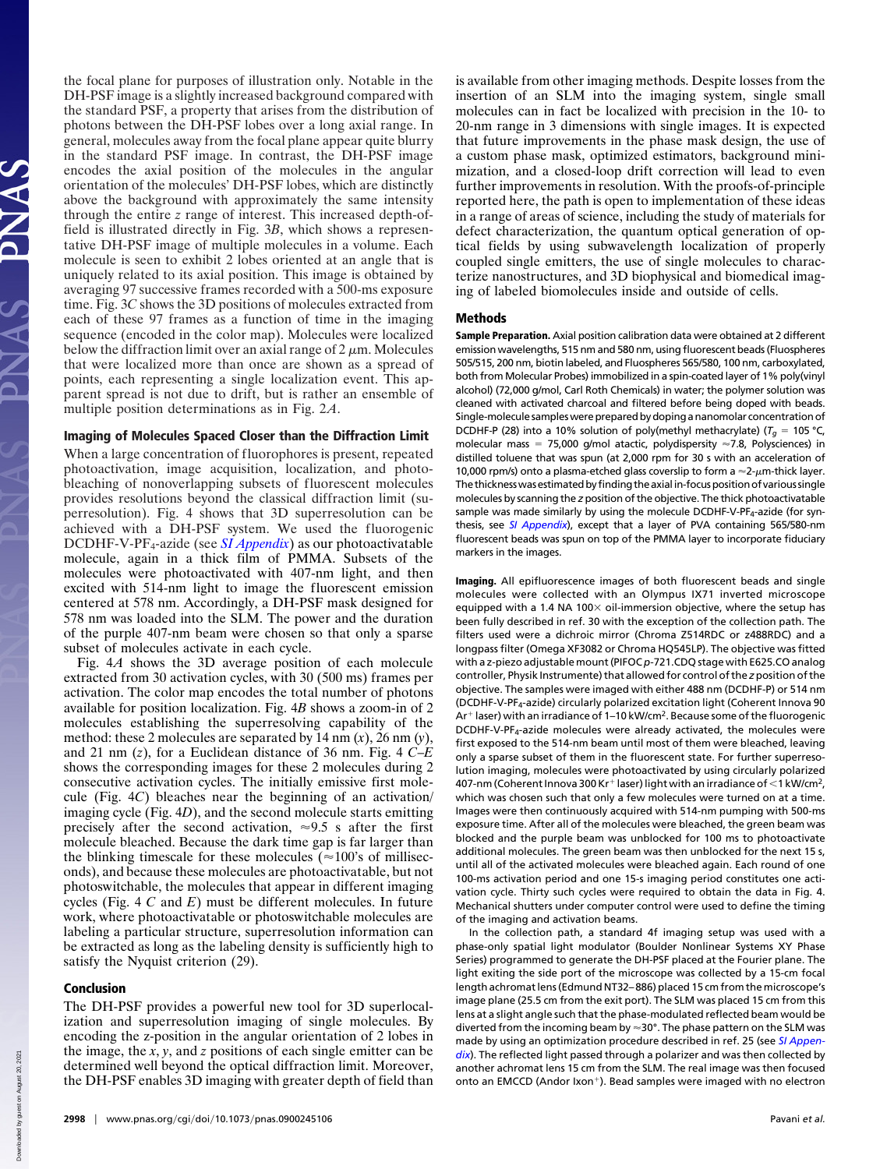the focal plane for purposes of illustration only. Notable in the DH-PSF image is a slightly increased background compared with the standard PSF, a property that arises from the distribution of photons between the DH-PSF lobes over a long axial range. In general, molecules away from the focal plane appear quite blurry in the standard PSF image. In contrast, the DH-PSF image encodes the axial position of the molecules in the angular orientation of the molecules' DH-PSF lobes, which are distinctly above the background with approximately the same intensity through the entire *z* range of interest. This increased depth-offield is illustrated directly in Fig. 3*B*, which shows a representative DH-PSF image of multiple molecules in a volume. Each molecule is seen to exhibit 2 lobes oriented at an angle that is uniquely related to its axial position. This image is obtained by averaging 97 successive frames recorded with a 500-ms exposure time. Fig. 3*C* shows the 3D positions of molecules extracted from each of these 97 frames as a function of time in the imaging sequence (encoded in the color map). Molecules were localized below the diffraction limit over an axial range of 2  $\mu$ m. Molecules that were localized more than once are shown as a spread of points, each representing a single localization event. This apparent spread is not due to drift, but is rather an ensemble of multiple position determinations as in Fig. 2*A*.

### **Imaging of Molecules Spaced Closer than the Diffraction Limit**

When a large concentration of fluorophores is present, repeated photoactivation, image acquisition, localization, and photobleaching of nonoverlapping subsets of fluorescent molecules provides resolutions beyond the classical diffraction limit (superresolution). Fig. 4 shows that 3D superresolution can be achieved with a DH-PSF system. We used the fluorogenic DCDHF-V-PF4-azide (see *[SI Appendix](http://www.pnas.org/cgi/data/0900245106/DCSupplemental/Appendix_PDF)*) as our photoactivatable molecule, again in a thick film of PMMA. Subsets of the molecules were photoactivated with 407-nm light, and then excited with 514-nm light to image the fluorescent emission centered at 578 nm. Accordingly, a DH-PSF mask designed for 578 nm was loaded into the SLM. The power and the duration of the purple 407-nm beam were chosen so that only a sparse subset of molecules activate in each cycle.

Fig. 4*A* shows the 3D average position of each molecule extracted from 30 activation cycles, with 30 (500 ms) frames per activation. The color map encodes the total number of photons available for position localization. Fig. 4*B* shows a zoom-in of 2 molecules establishing the superresolving capability of the method: these 2 molecules are separated by 14 nm (*x*), 26 nm (*y*), and 21 nm (*z*), for a Euclidean distance of 36 nm. Fig. 4 *C*–*E* shows the corresponding images for these 2 molecules during 2 consecutive activation cycles. The initially emissive first molecule (Fig. 4*C*) bleaches near the beginning of an activation/ imaging cycle (Fig. 4*D*), and the second molecule starts emitting precisely after the second activation,  $\approx 9.5$  s after the first molecule bleached. Because the dark time gap is far larger than the blinking timescale for these molecules ( $\approx$ 100's of milliseconds), and because these molecules are photoactivatable, but not photoswitchable, the molecules that appear in different imaging cycles (Fig. 4 *C* and *E*) must be different molecules. In future work, where photoactivatable or photoswitchable molecules are labeling a particular structure, superresolution information can be extracted as long as the labeling density is sufficiently high to satisfy the Nyquist criterion (29).

#### **Conclusion**

The DH-PSF provides a powerful new tool for 3D superlocalization and superresolution imaging of single molecules. By encoding the z-position in the angular orientation of 2 lobes in the image, the *x*, *y*, and *z* positions of each single emitter can be determined well beyond the optical diffraction limit. Moreover, the DH-PSF enables 3D imaging with greater depth of field than

is available from other imaging methods. Despite losses from the insertion of an SLM into the imaging system, single small molecules can in fact be localized with precision in the 10- to 20-nm range in 3 dimensions with single images. It is expected that future improvements in the phase mask design, the use of a custom phase mask, optimized estimators, background minimization, and a closed-loop drift correction will lead to even further improvements in resolution. With the proofs-of-principle reported here, the path is open to implementation of these ideas in a range of areas of science, including the study of materials for defect characterization, the quantum optical generation of optical fields by using subwavelength localization of properly coupled single emitters, the use of single molecules to characterize nanostructures, and 3D biophysical and biomedical imaging of labeled biomolecules inside and outside of cells.

#### **Methods**

**Sample Preparation.** Axial position calibration data were obtained at 2 different emission wavelengths, 515 nm and 580 nm, using fluorescent beads (Fluospheres 505/515, 200 nm, biotin labeled, and Fluospheres 565/580, 100 nm, carboxylated, both from Molecular Probes) immobilized in a spin-coated layer of 1% poly(vinyl alcohol) (72,000 g/mol, Carl Roth Chemicals) in water; the polymer solution was cleaned with activated charcoal and filtered before being doped with beads. Single-molecule sampleswere prepared by doping a nanomolar concentration of DCDHF-P (28) into a 10% solution of poly(methyl methacrylate) ( $T_g = 105$  °C, molecular mass = 75,000 g/mol atactic, polydispersity  $\approx$ 7.8, Polysciences) in distilled toluene that was spun (at 2,000 rpm for 30 s with an acceleration of 10,000 rpm/s) onto a plasma-etched glass coverslip to form a  $\approx$ 2- $\mu$ m-thick layer. The thickness was estimated by finding the axial in-focus position of various single molecules by scanning the *z* position of the objective. The thick photoactivatable sample was made similarly by using the molecule DCDHF-V-PF4-azide (for synthesis, see *[SI Appendix](http://www.pnas.org/cgi/data/0900245106/DCSupplemental/Appendix_PDF)*), except that a layer of PVA containing 565/580-nm fluorescent beads was spun on top of the PMMA layer to incorporate fiduciary markers in the images.

**Imaging.** All epifluorescence images of both fluorescent beads and single molecules were collected with an Olympus IX71 inverted microscope equipped with a 1.4 NA 100 $\times$  oil-immersion objective, where the setup has been fully described in ref. 30 with the exception of the collection path. The filters used were a dichroic mirror (Chroma Z514RDC or z488RDC) and a longpass filter (Omega XF3082 or Chroma HQ545LP). The objective was fitted with a z-piezo adjustable mount (PIFOC *p*-721.CDQ stage with E625.CO analog controller, Physik Instrumente) that allowed for control of the *z* position of the objective. The samples were imaged with either 488 nm (DCDHF-P) or 514 nm (DCDHF-V-PF4-azide) circularly polarized excitation light (Coherent Innova 90 Ar<sup>+</sup> laser) with an irradiance of 1-10 kW/cm<sup>2</sup>. Because some of the fluorogenic DCDHF-V-PF4-azide molecules were already activated, the molecules were first exposed to the 514-nm beam until most of them were bleached, leaving only a sparse subset of them in the fluorescent state. For further superresolution imaging, molecules were photoactivated by using circularly polarized 407-nm (Coherent Innova 300 Kr<sup>+</sup> laser) light with an irradiance of  $\leq$  1 kW/cm<sup>2</sup>, which was chosen such that only a few molecules were turned on at a time. Images were then continuously acquired with 514-nm pumping with 500-ms exposure time. After all of the molecules were bleached, the green beam was blocked and the purple beam was unblocked for 100 ms to photoactivate additional molecules. The green beam was then unblocked for the next 15 s, until all of the activated molecules were bleached again. Each round of one 100-ms activation period and one 15-s imaging period constitutes one activation cycle. Thirty such cycles were required to obtain the data in Fig. 4. Mechanical shutters under computer control were used to define the timing of the imaging and activation beams.

In the collection path, a standard 4f imaging setup was used with a phase-only spatial light modulator (Boulder Nonlinear Systems XY Phase Series) programmed to generate the DH-PSF placed at the Fourier plane. The light exiting the side port of the microscope was collected by a 15-cm focal length achromat lens (Edmund NT32– 886) placed 15 cm from the microscope's image plane (25.5 cm from the exit port). The SLM was placed 15 cm from this lens at a slight angle such that the phase-modulated reflected beam would be diverted from the incoming beam by  $\approx$ 30°. The phase pattern on the SLM was made by using an optimization procedure described in ref. 25 (see *[SI Appen](http://www.pnas.org/cgi/data/0900245106/DCSupplemental/Appendix_PDF)*[dix](http://www.pnas.org/cgi/data/0900245106/DCSupplemental/Appendix_PDF)). The reflected light passed through a polarizer and was then collected by another achromat lens 15 cm from the SLM. The real image was then focused onto an EMCCD (Andor Ixon<sup>+</sup>). Bead samples were imaged with no electron